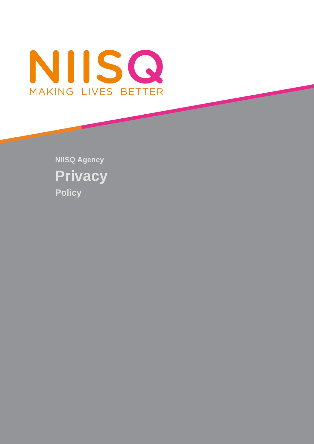

**NIISQ Agency Privacy Policy**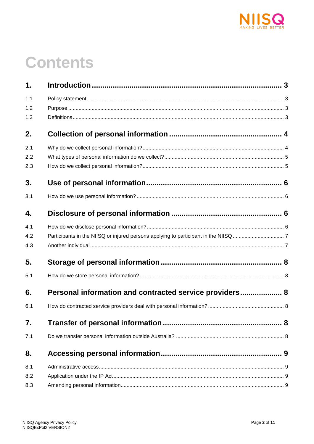

# **Contents**

| 1.  |                                                         |  |
|-----|---------------------------------------------------------|--|
| 1.1 |                                                         |  |
| 1.2 |                                                         |  |
| 1.3 |                                                         |  |
| 2.  |                                                         |  |
| 2.1 |                                                         |  |
| 2.2 |                                                         |  |
| 2.3 |                                                         |  |
| 3.  |                                                         |  |
| 3.1 |                                                         |  |
| 4.  |                                                         |  |
| 4.1 |                                                         |  |
| 4.2 |                                                         |  |
| 4.3 |                                                         |  |
| 5.  |                                                         |  |
| 5.1 |                                                         |  |
| 6.  | Personal information and contracted service providers 8 |  |
| 6.1 |                                                         |  |
| 7.  |                                                         |  |
| 7.1 |                                                         |  |
| 8.  |                                                         |  |
| 8.1 |                                                         |  |
| 8.2 |                                                         |  |
| 8.3 |                                                         |  |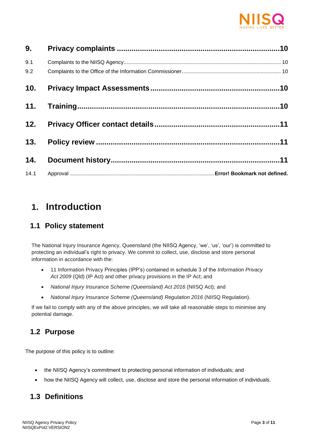

| 9.         |  |
|------------|--|
| 9.1<br>9.2 |  |
| 10.        |  |
| 11.        |  |
| 12.        |  |
| 13.        |  |
| 14.        |  |
| 14.1       |  |

# <span id="page-2-0"></span>**1. Introduction**

#### <span id="page-2-1"></span>**1.1 Policy statement**

The National Injury Insurance Agency, Queensland (the NIISQ Agency, 'we', 'us', 'our') is committed to protecting an individual's right to privacy. We commit to collect, use, disclose and store personal information in accordance with the:

- 11 Information Privacy Principles (IPP's) contained in schedule 3 of the *Information Privacy Act 2009* (Qld) (IP Act) and other privacy provisions in the IP Act; and
- *National Injury Insurance Scheme (Queensland) Act 2016 (NIISQ Act): and*
- *National Injury Insurance Scheme (Queensland) Regulation 2016* (NIISQ Regulation).

If we fail to comply with any of the above principles, we will take all reasonable steps to minimise any potential damage.

#### <span id="page-2-2"></span>**1.2 Purpose**

The purpose of this policy is to outline:

- the NIISQ Agency's commitment to protecting personal information of individuals; and
- how the NIISQ Agency will collect, use, disclose and store the personal information of individuals.

### <span id="page-2-3"></span>**1.3 Definitions**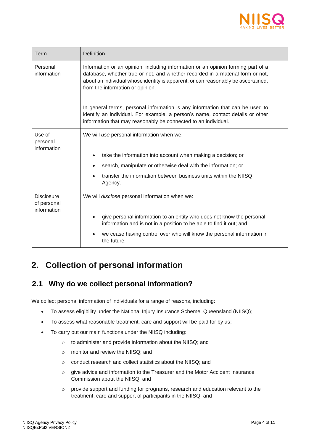

| Term                                            | <b>Definition</b>                                                                                                                                                                                                                                                                           |
|-------------------------------------------------|---------------------------------------------------------------------------------------------------------------------------------------------------------------------------------------------------------------------------------------------------------------------------------------------|
| Personal<br>information                         | Information or an opinion, including information or an opinion forming part of a<br>database, whether true or not, and whether recorded in a material form or not,<br>about an individual whose identity is apparent, or can reasonably be ascertained,<br>from the information or opinion. |
|                                                 | In general terms, personal information is any information that can be used to<br>identify an individual. For example, a person's name, contact details or other<br>information that may reasonably be connected to an individual.                                                           |
| Use of<br>personal<br>information               | We will use personal information when we:                                                                                                                                                                                                                                                   |
|                                                 | take the information into account when making a decision; or                                                                                                                                                                                                                                |
|                                                 | search, manipulate or otherwise deal with the information; or                                                                                                                                                                                                                               |
|                                                 | transfer the information between business units within the NIISQ<br>Agency.                                                                                                                                                                                                                 |
| <b>Disclosure</b><br>of personal<br>information | We will disclose personal information when we:                                                                                                                                                                                                                                              |
|                                                 | give personal information to an entity who does not know the personal<br>information and is not in a position to be able to find it out; and                                                                                                                                                |
|                                                 | we cease having control over who will know the personal information in<br>the future.                                                                                                                                                                                                       |

# <span id="page-3-1"></span><span id="page-3-0"></span>**2. Collection of personal information**

#### **2.1 Why do we collect personal information?**

We collect personal information of individuals for a range of reasons, including:

- To assess eligibility under the National Injury Insurance Scheme, Queensland (NIISQ);
- To assess what reasonable treatment, care and support will be paid for by us;
- To carry out our main functions under the NIISQ including:
	- o to administer and provide information about the NIISQ; and
	- o monitor and review the NIISQ; and
	- o conduct research and collect statistics about the NIISQ; and
	- o give advice and information to the Treasurer and the Motor Accident Insurance Commission about the NIISQ; and
	- o provide support and funding for programs, research and education relevant to the treatment, care and support of participants in the NIISQ; and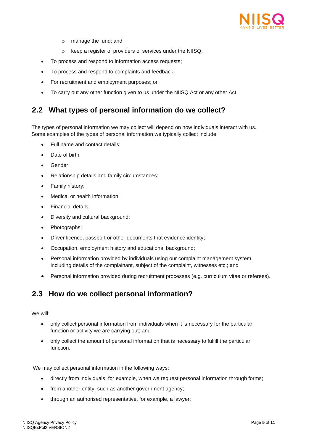

- o manage the fund; and
- o keep a register of providers of services under the NIISQ;
- To process and respond to information access requests;
- To process and respond to complaints and feedback;
- For recruitment and employment purposes; or
- To carry out any other function given to us under the NIISQ Act or any other Act.

#### <span id="page-4-0"></span>**2.2 What types of personal information do we collect?**

The types of personal information we may collect will depend on how individuals interact with us. Some examples of the types of personal information we typically collect include:

- Full name and contact details;
- Date of birth;
- Gender:
- Relationship details and family circumstances;
- Family history;
- Medical or health information:
- Financial details;
- Diversity and cultural background;
- Photographs;
- Driver licence, passport or other documents that evidence identity;
- Occupation, employment history and educational background;
- Personal information provided by individuals using our complaint management system, including details of the complainant, subject of the complaint, witnesses etc.; and
- Personal information provided during recruitment processes (e.g. curriculum vitae or referees).

#### <span id="page-4-1"></span>**2.3 How do we collect personal information?**

We will:

- only collect personal information from individuals when it is necessary for the particular function or activity we are carrying out; and
- only collect the amount of personal information that is necessary to fulfill the particular function.

We may collect personal information in the following ways:

- directly from individuals, for example, when we request personal information through forms;
- from another entity, such as another government agency;
- through an authorised representative, for example, a lawyer;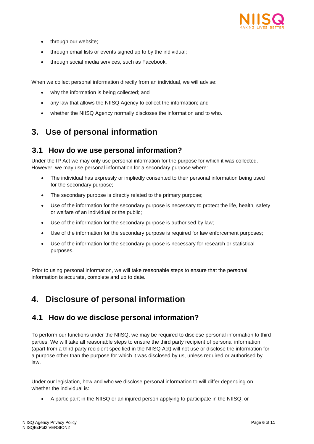

- through our website;
- through email lists or events signed up to by the individual;
- through social media services, such as Facebook.

When we collect personal information directly from an individual, we will advise:

- why the information is being collected; and
- any law that allows the NIISQ Agency to collect the information; and
- whether the NIISQ Agency normally discloses the information and to who.

# <span id="page-5-1"></span><span id="page-5-0"></span>**3. Use of personal information**

#### **3.1 How do we use personal information?**

Under the IP Act we may only use personal information for the purpose for which it was collected. However, we may use personal information for a secondary purpose where:

- The individual has expressly or impliedly consented to their personal information being used for the secondary purpose;
- The secondary purpose is directly related to the primary purpose:
- Use of the information for the secondary purpose is necessary to protect the life, health, safety or welfare of an individual or the public;
- Use of the information for the secondary purpose is authorised by law;
- Use of the information for the secondary purpose is required for law enforcement purposes;
- Use of the information for the secondary purpose is necessary for research or statistical purposes.

Prior to using personal information, we will take reasonable steps to ensure that the personal information is accurate, complete and up to date.

# <span id="page-5-3"></span><span id="page-5-2"></span>**4. Disclosure of personal information**

#### **4.1 How do we disclose personal information?**

To perform our functions under the NIISQ, we may be required to disclose personal information to third parties. We will take all reasonable steps to ensure the third party recipient of personal information (apart from a third party recipient specified in the NIISQ Act) will not use or disclose the information for a purpose other than the purpose for which it was disclosed by us, unless required or authorised by law.

Under our legislation, how and who we disclose personal information to will differ depending on whether the individual is:

• A participant in the NIISQ or an injured person applying to participate in the NIISQ; or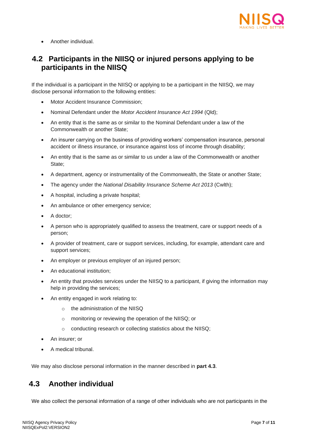

• Another individual.

#### <span id="page-6-0"></span>**4.2 Participants in the NIISQ or injured persons applying to be participants in the NIISQ**

If the individual is a participant in the NIISQ or applying to be a participant in the NIISQ, we may disclose personal information to the following entities:

- Motor Accident Insurance Commission;
- Nominal Defendant under the *Motor Accident Insurance Act 1994* (Qld);
- An entity that is the same as or similar to the Nominal Defendant under a law of the Commonwealth or another State;
- An insurer carrying on the business of providing workers' compensation insurance, personal accident or illness insurance, or insurance against loss of income through disability;
- An entity that is the same as or similar to us under a law of the Commonwealth or another State;
- A department, agency or instrumentality of the Commonwealth, the State or another State;
- The agency under the *National Disability Insurance Scheme Act 2013* (Cwlth);
- A hospital, including a private hospital;
- An ambulance or other emergency service:
- A doctor;
- A person who is appropriately qualified to assess the treatment, care or support needs of a person;
- A provider of treatment, care or support services, including, for example, attendant care and support services;
- An employer or previous employer of an injured person;
- An educational institution;
- An entity that provides services under the NIISQ to a participant, if giving the information may help in providing the services;
- An entity engaged in work relating to:
	- o the administration of the NIISQ
	- o monitoring or reviewing the operation of the NIISQ; or
	- o conducting research or collecting statistics about the NIISQ;
- An insurer; or
- A medical tribunal.

We may also disclose personal information in the manner described in **part 4.3**.

#### <span id="page-6-1"></span>**4.3 Another individual**

We also collect the personal information of a range of other individuals who are not participants in the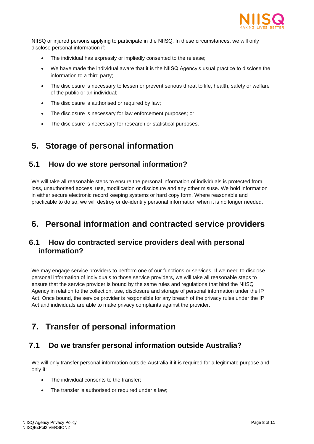

NIISQ or injured persons applying to participate in the NIISQ. In these circumstances, we will only disclose personal information if:

- The individual has expressly or impliedly consented to the release;
- We have made the individual aware that it is the NIISQ Agency's usual practice to disclose the information to a third party;
- The disclosure is necessary to lessen or prevent serious threat to life, health, safety or welfare of the public or an individual;
- The disclosure is authorised or required by law;
- The disclosure is necessary for law enforcement purposes; or
- The disclosure is necessary for research or statistical purposes.

# <span id="page-7-0"></span>**5. Storage of personal information**

#### <span id="page-7-1"></span>**5.1 How do we store personal information?**

We will take all reasonable steps to ensure the personal information of individuals is protected from loss, unauthorised access, use, modification or disclosure and any other misuse. We hold information in either secure electronic record keeping systems or hard copy form. Where reasonable and practicable to do so, we will destroy or de-identify personal information when it is no longer needed.

## <span id="page-7-2"></span>**6. Personal information and contracted service providers**

#### <span id="page-7-3"></span>**6.1 How do contracted service providers deal with personal information?**

We may engage service providers to perform one of our functions or services. If we need to disclose personal information of individuals to those service providers, we will take all reasonable steps to ensure that the service provider is bound by the same rules and regulations that bind the NIISQ Agency in relation to the collection, use, disclosure and storage of personal information under the IP Act. Once bound, the service provider is responsible for any breach of the privacy rules under the IP Act and individuals are able to make privacy complaints against the provider.

# <span id="page-7-4"></span>**7. Transfer of personal information**

#### <span id="page-7-5"></span>**7.1 Do we transfer personal information outside Australia?**

We will only transfer personal information outside Australia if it is required for a legitimate purpose and only if:

- The individual consents to the transfer;
- The transfer is authorised or required under a law;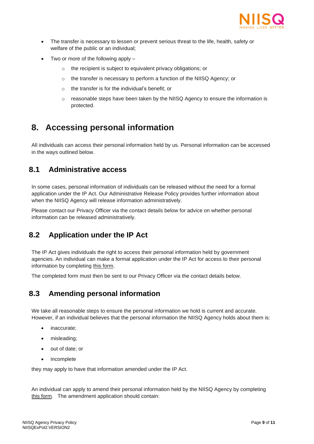

- The transfer is necessary to lessen or prevent serious threat to the life, health, safety or welfare of the public or an individual;
- Two or more of the following apply
	- o the recipient is subject to equivalent privacy obligations; or
	- o the transfer is necessary to perform a function of the NIISQ Agency; or
	- o the transfer is for the individual's benefit; or
	- $\circ$  reasonable steps have been taken by the NIISQ Agency to ensure the information is protected.

# <span id="page-8-0"></span>**8. Accessing personal information**

All individuals can access their personal information held by us. Personal information can be accessed in the ways outlined below.

#### <span id="page-8-1"></span>**8.1 Administrative access**

In some cases, personal information of individuals can be released without the need for a formal application under the IP Act. Our [Administrative Release Policy](https://www.niis.qld.gov.au/wp-content/uploads/2019/03/NIISQ-Agency-Administrative-Release-Policy-13-March-2019.pdf) provides further information about when the NIISQ Agency will release information administratively.

Please contact our Privacy Officer via the contact details below for advice on whether personal information can be released administratively.

#### <span id="page-8-2"></span>**8.2 Application under the IP Act**

The IP Act gives individuals the right to access their personal information held by government agencies. An individual can make a formal application under the IP Act for access to their personal information by completing [this form.](https://www.rti.qld.gov.au/__data/assets/pdf_file/0005/133277/RTI-Access-App-form.pdf)

The completed form must then be sent to our Privacy Officer via the contact details below.

#### <span id="page-8-3"></span>**8.3 Amending personal information**

We take all reasonable steps to ensure the personal information we hold is current and accurate. However, if an individual believes that the personal information the NIISQ Agency holds about them is:

- inaccurate;
- misleading;
- out of date; or
- incomplete

they may apply to have that information amended under the IP Act.

An individual can apply to amend their personal information held by the NIISQ Agency by completing [this form.](https://www.rti.qld.gov.au/__data/assets/pdf_file/0009/97335/attachment-4-approved-form-2ip_s.FH11.PDF) The amendment application should contain: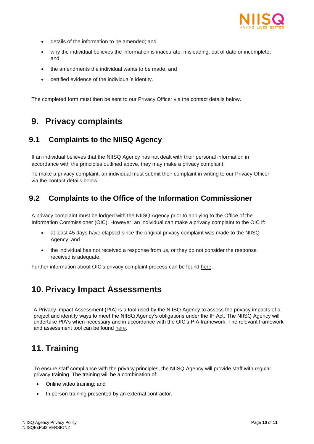

- details of the information to be amended; and
- why the individual believes the information is inaccurate, misleading, out of date or incomplete; and
- the amendments the individual wants to be made; and
- certified evidence of the individual's identity.

The completed form must then be sent to our Privacy Officer via the contact details below.

# <span id="page-9-0"></span>**9. Privacy complaints**

#### <span id="page-9-1"></span>**9.1 Complaints to the NIISQ Agency**

If an individual believes that the NIISQ Agency has not dealt with their personal information in accordance with the principles outlined above, they may make a privacy complaint.

To make a privacy complaint, an individual must submit their complaint in writing to our Privacy Officer via the contact details below.

#### <span id="page-9-2"></span>**9.2 Complaints to the Office of the Information Commissioner**

A privacy complaint must be lodged with the NIISQ Agency prior to applying to the Office of the Information Commissioner (OIC). However, an individual can make a privacy complaint to the OIC if:

- at least 45 days have elapsed since the original privacy complaint was made to the NIISQ Agency; and
- the individual has not received a response from us, or they do not consider the response received is adequate.

Further information about OIC's privacy complaint process can be found [here.](https://www.oic.qld.gov.au/about/privacy/privacy-complaints)

### <span id="page-9-3"></span>**10. Privacy Impact Assessments**

A Privacy Impact Assessment (PIA) is a tool used by the NIISQ Agency to assess the privacy impacts of a project and identify ways to meet the NIISQ Agency's obligations under the IP Act. The NIISQ Agency will undertake PIA's when necessary and in accordance with the OIC's PIA framework. The relevant framework and assessment tool can be found [here.](https://www.oic.qld.gov.au/guidelines/for-government/guidelines-privacy-principles/privacy-compliance/overview-privacy-impact-assessment-process)

# <span id="page-9-4"></span>**11. Training**

To ensure staff compliance with the privacy principles, the NIISQ Agency will provide staff with regular privacy training. The training will be a combination of:

- Online video training; and
- In person training presented by an external contractor.